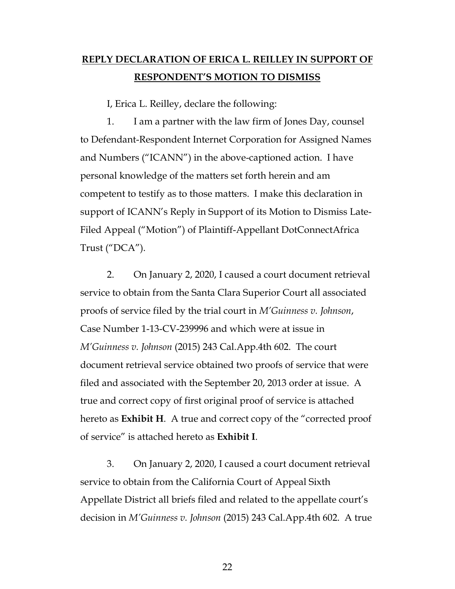## **REPLY DECLARATION OF ERICA L. REILLEY IN SUPPORT OF RESPONDENT'S MOTION TO DISMISS**

I, Erica L. Reilley, declare the following:

1. I am a partner with the law firm of Jones Day, counsel to Defendant-Respondent Internet Corporation for Assigned Names and Numbers ("ICANN") in the above-captioned action. I have personal knowledge of the matters set forth herein and am competent to testify as to those matters. I make this declaration in support of ICANN's Reply in Support of its Motion to Dismiss Late-Filed Appeal ("Motion") of Plaintiff-Appellant DotConnectAfrica Trust ("DCA").

2. On January 2, 2020, I caused a court document retrieval service to obtain from the Santa Clara Superior Court all associated proofs of service filed by the trial court in *M'Guinness v. Johnson*, Case Number 1-13-CV-239996 and which were at issue in *M'Guinness v. Johnson* (2015) 243 Cal.App.4th 602. The court document retrieval service obtained two proofs of service that were filed and associated with the September 20, 2013 order at issue. A true and correct copy of first original proof of service is attached hereto as **Exhibit H**. A true and correct copy of the "corrected proof of service" is attached hereto as **Exhibit I**.

3. On January 2, 2020, I caused a court document retrieval service to obtain from the California Court of Appeal Sixth Appellate District all briefs filed and related to the appellate court's decision in *M'Guinness v. Johnson* (2015) 243 Cal.App.4th 602. A true

22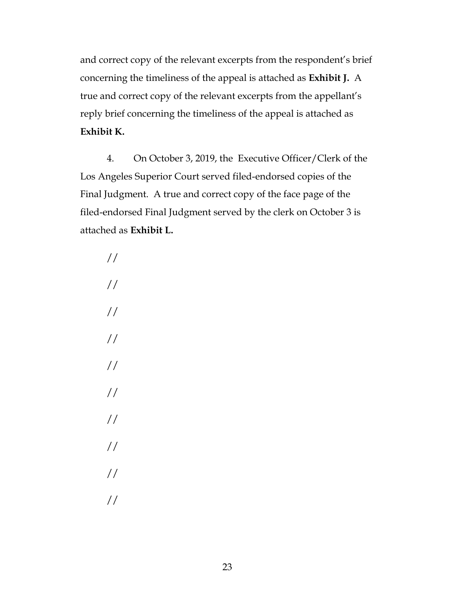and correct copy of the relevant excerpts from the respondent's brief concerning the timeliness of the appeal is attached as **Exhibit J.** A true and correct copy of the relevant excerpts from the appellant's reply brief concerning the timeliness of the appeal is attached as **Exhibit K.** 

4. On October 3, 2019, the Executive Officer/Clerk of the Los Angeles Superior Court served filed-endorsed copies of the Final Judgment. A true and correct copy of the face page of the filed-endorsed Final Judgment served by the clerk on October 3 is attached as **Exhibit L.** 

// // // // // // // // // //

23